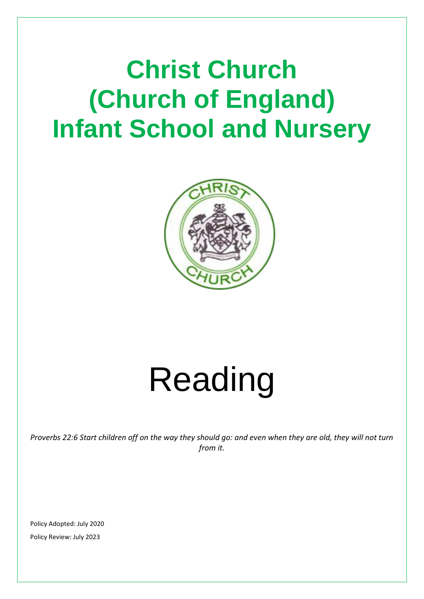# **Christ Church (Church of England) Infant School and Nursery**



# Reading

*Proverbs 22:6 Start children off on the way they should go: and even when they are old, they will not turn from it.*

Policy Adopted: July 2020 Policy Review: July 2023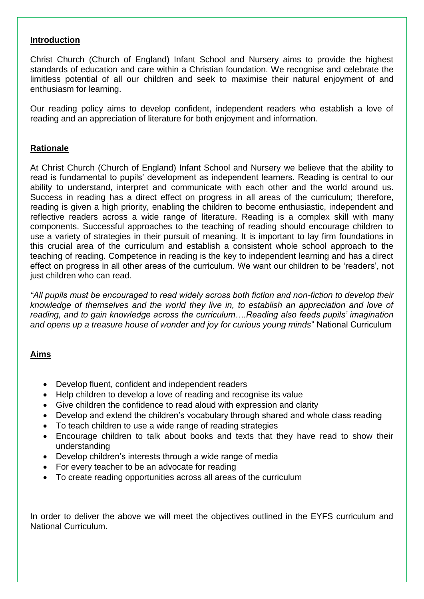#### **Introduction**

Christ Church (Church of England) Infant School and Nursery aims to provide the highest standards of education and care within a Christian foundation. We recognise and celebrate the limitless potential of all our children and seek to maximise their natural enjoyment of and enthusiasm for learning.

Our reading policy aims to develop confident, independent readers who establish a love of reading and an appreciation of literature for both enjoyment and information.

#### **Rationale**

At Christ Church (Church of England) Infant School and Nursery we believe that the ability to read is fundamental to pupils' development as independent learners. Reading is central to our ability to understand, interpret and communicate with each other and the world around us. Success in reading has a direct effect on progress in all areas of the curriculum; therefore, reading is given a high priority, enabling the children to become enthusiastic, independent and reflective readers across a wide range of literature. Reading is a complex skill with many components. Successful approaches to the teaching of reading should encourage children to use a variety of strategies in their pursuit of meaning. It is important to lay firm foundations in this crucial area of the curriculum and establish a consistent whole school approach to the teaching of reading. Competence in reading is the key to independent learning and has a direct effect on progress in all other areas of the curriculum. We want our children to be 'readers', not just children who can read.

*"All pupils must be encouraged to read widely across both fiction and non-fiction to develop their knowledge of themselves and the world they live in, to establish an appreciation and love of reading, and to gain knowledge across the curriculum….Reading also feeds pupils' imagination and opens up a treasure house of wonder and joy for curious young minds*" National Curriculum

#### **Aims**

- Develop fluent, confident and independent readers
- Help children to develop a love of reading and recognise its value
- Give children the confidence to read aloud with expression and clarity
- Develop and extend the children's vocabulary through shared and whole class reading
- To teach children to use a wide range of reading strategies
- Encourage children to talk about books and texts that they have read to show their understanding
- Develop children's interests through a wide range of media
- For every teacher to be an advocate for reading
- To create reading opportunities across all areas of the curriculum

In order to deliver the above we will meet the objectives outlined in the EYFS curriculum and National Curriculum.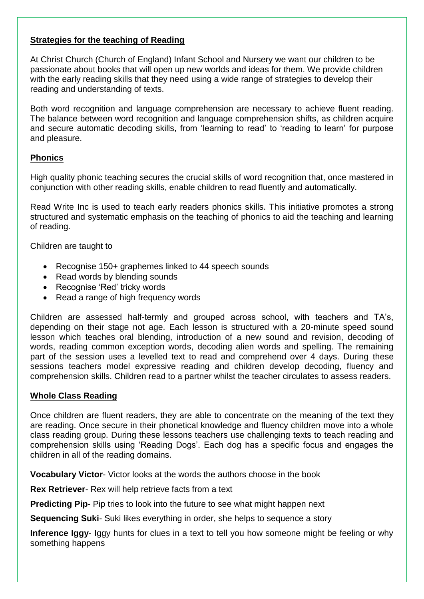# **Strategies for the teaching of Reading**

At Christ Church (Church of England) Infant School and Nursery we want our children to be passionate about books that will open up new worlds and ideas for them. We provide children with the early reading skills that they need using a wide range of strategies to develop their reading and understanding of texts.

Both word recognition and language comprehension are necessary to achieve fluent reading. The balance between word recognition and language comprehension shifts, as children acquire and secure automatic decoding skills, from 'learning to read' to 'reading to learn' for purpose and pleasure.

# **Phonics**

High quality phonic teaching secures the crucial skills of word recognition that, once mastered in conjunction with other reading skills, enable children to read fluently and automatically.

Read Write Inc is used to teach early readers phonics skills. This initiative promotes a strong structured and systematic emphasis on the teaching of phonics to aid the teaching and learning of reading.

Children are taught to

- Recognise 150+ graphemes linked to 44 speech sounds
- Read words by blending sounds
- Recognise 'Red' tricky words
- Read a range of high frequency words

Children are assessed half-termly and grouped across school, with teachers and TA's, depending on their stage not age. Each lesson is structured with a 20-minute speed sound lesson which teaches oral blending, introduction of a new sound and revision, decoding of words, reading common exception words, decoding alien words and spelling. The remaining part of the session uses a levelled text to read and comprehend over 4 days. During these sessions teachers model expressive reading and children develop decoding, fluency and comprehension skills. Children read to a partner whilst the teacher circulates to assess readers.

# **Whole Class Reading**

Once children are fluent readers, they are able to concentrate on the meaning of the text they are reading. Once secure in their phonetical knowledge and fluency children move into a whole class reading group. During these lessons teachers use challenging texts to teach reading and comprehension skills using 'Reading Dogs'. Each dog has a specific focus and engages the children in all of the reading domains.

**Vocabulary Victor**- Victor looks at the words the authors choose in the book

**Rex Retriever**- Rex will help retrieve facts from a text

**Predicting Pip-** Pip tries to look into the future to see what might happen next

**Sequencing Suki**- Suki likes everything in order, she helps to sequence a story

**Inference Iggy**- Iggy hunts for clues in a text to tell you how someone might be feeling or why something happens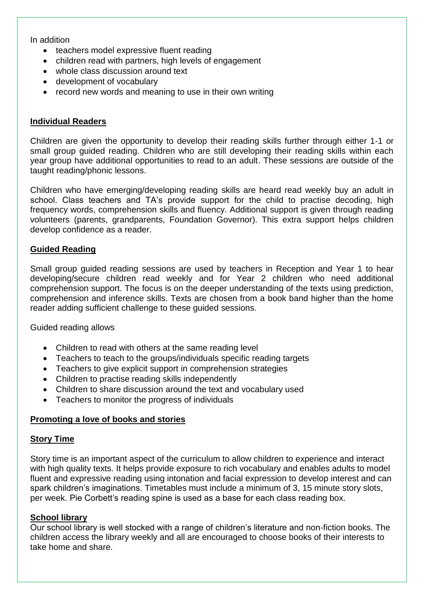In addition

- teachers model expressive fluent reading
- children read with partners, high levels of engagement
- whole class discussion around text
- development of vocabulary
- record new words and meaning to use in their own writing

#### **Individual Readers**

Children are given the opportunity to develop their reading skills further through either 1-1 or small group guided reading. Children who are still developing their reading skills within each year group have additional opportunities to read to an adult. These sessions are outside of the taught reading/phonic lessons.

Children who have emerging/developing reading skills are heard read weekly buy an adult in school. Class teachers and TA's provide support for the child to practise decoding, high frequency words, comprehension skills and fluency. Additional support is given through reading volunteers (parents, grandparents, Foundation Governor). This extra support helps children develop confidence as a reader.

#### **Guided Reading**

Small group guided reading sessions are used by teachers in Reception and Year 1 to hear developing/secure children read weekly and for Year 2 children who need additional comprehension support. The focus is on the deeper understanding of the texts using prediction, comprehension and inference skills. Texts are chosen from a book band higher than the home reader adding sufficient challenge to these guided sessions.

Guided reading allows

- Children to read with others at the same reading level
- Teachers to teach to the groups/individuals specific reading targets
- Teachers to give explicit support in comprehension strategies
- Children to practise reading skills independently
- Children to share discussion around the text and vocabulary used
- Teachers to monitor the progress of individuals

#### **Promoting a love of books and stories**

#### **Story Time**

Story time is an important aspect of the curriculum to allow children to experience and interact with high quality texts. It helps provide exposure to rich vocabulary and enables adults to model fluent and expressive reading using intonation and facial expression to develop interest and can spark children's imaginations. Timetables must include a minimum of 3, 15 minute story slots, per week. Pie Corbett's reading spine is used as a base for each class reading box.

#### **School library**

Our school library is well stocked with a range of children's literature and non-fiction books. The children access the library weekly and all are encouraged to choose books of their interests to take home and share.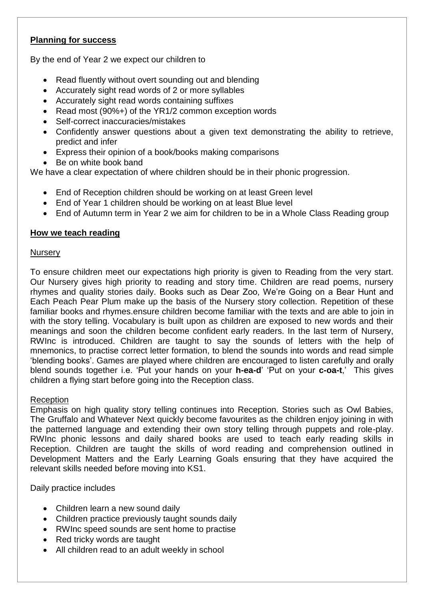# **Planning for success**

By the end of Year 2 we expect our children to

- Read fluently without overt sounding out and blending
- Accurately sight read words of 2 or more syllables
- Accurately sight read words containing suffixes
- Read most (90%+) of the YR1/2 common exception words
- Self-correct inaccuracies/mistakes
- Confidently answer questions about a given text demonstrating the ability to retrieve, predict and infer
- Express their opinion of a book/books making comparisons
- Be on white book band

We have a clear expectation of where children should be in their phonic progression.

- End of Reception children should be working on at least Green level
- End of Year 1 children should be working on at least Blue level
- End of Autumn term in Year 2 we aim for children to be in a Whole Class Reading group

# **How we teach reading**

#### **Nursery**

To ensure children meet our expectations high priority is given to Reading from the very start. Our Nursery gives high priority to reading and story time. Children are read poems, nursery rhymes and quality stories daily. Books such as Dear Zoo, We're Going on a Bear Hunt and Each Peach Pear Plum make up the basis of the Nursery story collection. Repetition of these familiar books and rhymes.ensure children become familiar with the texts and are able to join in with the story telling. Vocabulary is built upon as children are exposed to new words and their meanings and soon the children become confident early readers. In the last term of Nursery, RWInc is introduced. Children are taught to say the sounds of letters with the help of mnemonics, to practise correct letter formation, to blend the sounds into words and read simple 'blending books'. Games are played where children are encouraged to listen carefully and orally blend sounds together i.e. 'Put your hands on your **h-ea-d**' 'Put on your **c-oa-t**,' This gives children a flying start before going into the Reception class.

# Reception

Emphasis on high quality story telling continues into Reception. Stories such as Owl Babies, The Gruffalo and Whatever Next quickly become favourites as the children enjoy joining in with the patterned language and extending their own story telling through puppets and role-play. RWInc phonic lessons and daily shared books are used to teach early reading skills in Reception. Children are taught the skills of word reading and comprehension outlined in Development Matters and the Early Learning Goals ensuring that they have acquired the relevant skills needed before moving into KS1.

Daily practice includes

- Children learn a new sound daily
- Children practice previously taught sounds daily
- RWInc speed sounds are sent home to practise
- Red tricky words are taught
- All children read to an adult weekly in school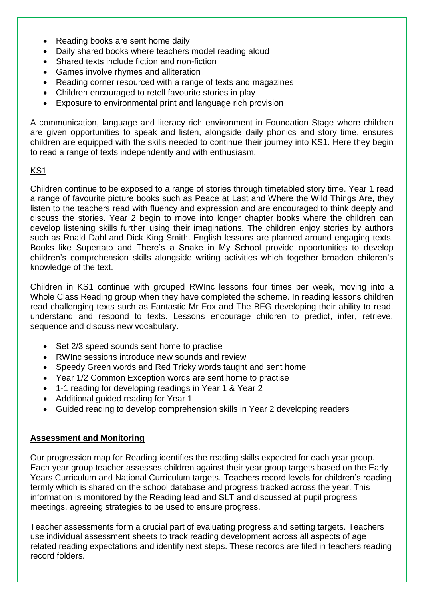- Reading books are sent home daily
- Daily shared books where teachers model reading aloud
- Shared texts include fiction and non-fiction
- Games involve rhymes and alliteration
- Reading corner resourced with a range of texts and magazines
- Children encouraged to retell favourite stories in play
- Exposure to environmental print and language rich provision

A communication, language and literacy rich environment in Foundation Stage where children are given opportunities to speak and listen, alongside daily phonics and story time, ensures children are equipped with the skills needed to continue their journey into KS1. Here they begin to read a range of texts independently and with enthusiasm.

# KS1

Children continue to be exposed to a range of stories through timetabled story time. Year 1 read a range of favourite picture books such as Peace at Last and Where the Wild Things Are, they listen to the teachers read with fluency and expression and are encouraged to think deeply and discuss the stories. Year 2 begin to move into longer chapter books where the children can develop listening skills further using their imaginations. The children enjoy stories by authors such as Roald Dahl and Dick King Smith. English lessons are planned around engaging texts. Books like Supertato and There's a Snake in My School provide opportunities to develop children's comprehension skills alongside writing activities which together broaden children's knowledge of the text.

Children in KS1 continue with grouped RWInc lessons four times per week, moving into a Whole Class Reading group when they have completed the scheme. In reading lessons children read challenging texts such as Fantastic Mr Fox and The BFG developing their ability to read, understand and respond to texts. Lessons encourage children to predict, infer, retrieve, sequence and discuss new vocabulary.

- Set 2/3 speed sounds sent home to practise
- RWInc sessions introduce new sounds and review
- Speedy Green words and Red Tricky words taught and sent home
- Year 1/2 Common Exception words are sent home to practise
- 1-1 reading for developing readings in Year 1 & Year 2
- Additional guided reading for Year 1
- Guided reading to develop comprehension skills in Year 2 developing readers

#### **Assessment and Monitoring**

Our progression map for Reading identifies the reading skills expected for each year group. Each year group teacher assesses children against their year group targets based on the Early Years Curriculum and National Curriculum targets. Teachers record levels for children's reading termly which is shared on the school database and progress tracked across the year. This information is monitored by the Reading lead and SLT and discussed at pupil progress meetings, agreeing strategies to be used to ensure progress.

Teacher assessments form a crucial part of evaluating progress and setting targets. Teachers use individual assessment sheets to track reading development across all aspects of age related reading expectations and identify next steps. These records are filed in teachers reading record folders.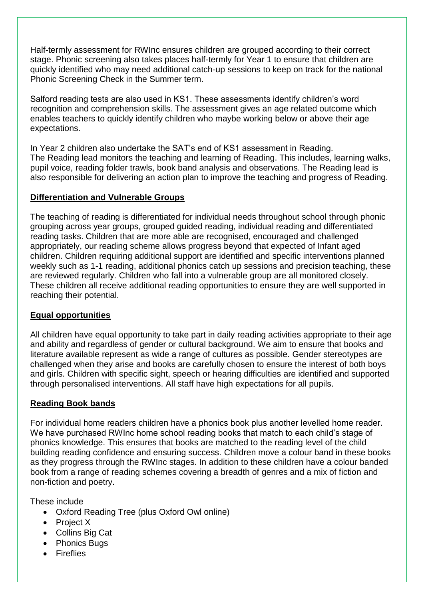Half-termly assessment for RWInc ensures children are grouped according to their correct stage. Phonic screening also takes places half-termly for Year 1 to ensure that children are quickly identified who may need additional catch-up sessions to keep on track for the national Phonic Screening Check in the Summer term.

Salford reading tests are also used in KS1. These assessments identify children's word recognition and comprehension skills. The assessment gives an age related outcome which enables teachers to quickly identify children who maybe working below or above their age expectations.

In Year 2 children also undertake the SAT's end of KS1 assessment in Reading. The Reading lead monitors the teaching and learning of Reading. This includes, learning walks, pupil voice, reading folder trawls, book band analysis and observations. The Reading lead is also responsible for delivering an action plan to improve the teaching and progress of Reading.

# **Differentiation and Vulnerable Groups**

The teaching of reading is differentiated for individual needs throughout school through phonic grouping across year groups, grouped guided reading, individual reading and differentiated reading tasks. Children that are more able are recognised, encouraged and challenged appropriately, our reading scheme allows progress beyond that expected of Infant aged children. Children requiring additional support are identified and specific interventions planned weekly such as 1-1 reading, additional phonics catch up sessions and precision teaching, these are reviewed regularly. Children who fall into a vulnerable group are all monitored closely. These children all receive additional reading opportunities to ensure they are well supported in reaching their potential.

# **Equal opportunities**

All children have equal opportunity to take part in daily reading activities appropriate to their age and ability and regardless of gender or cultural background. We aim to ensure that books and literature available represent as wide a range of cultures as possible. Gender stereotypes are challenged when they arise and books are carefully chosen to ensure the interest of both boys and girls. Children with specific sight, speech or hearing difficulties are identified and supported through personalised interventions. All staff have high expectations for all pupils.

# **Reading Book bands**

For individual home readers children have a phonics book plus another levelled home reader. We have purchased RWInc home school reading books that match to each child's stage of phonics knowledge. This ensures that books are matched to the reading level of the child building reading confidence and ensuring success. Children move a colour band in these books as they progress through the RWInc stages. In addition to these children have a colour banded book from a range of reading schemes covering a breadth of genres and a mix of fiction and non-fiction and poetry.

These include

- Oxford Reading Tree (plus Oxford Owl online)
- Project X
- Collins Big Cat
- Phonics Bugs
- **•** Fireflies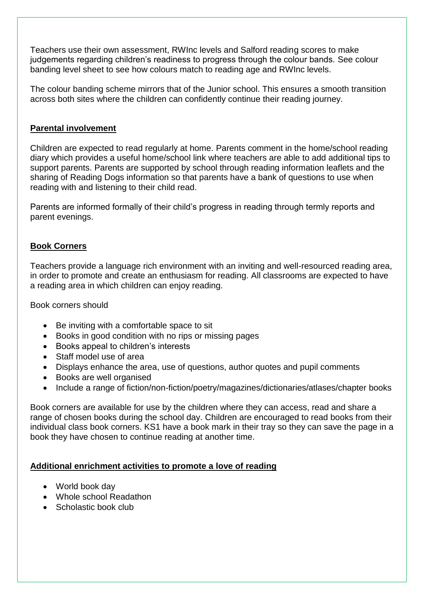Teachers use their own assessment, RWInc levels and Salford reading scores to make judgements regarding children's readiness to progress through the colour bands. See colour banding level sheet to see how colours match to reading age and RWInc levels.

The colour banding scheme mirrors that of the Junior school. This ensures a smooth transition across both sites where the children can confidently continue their reading journey.

#### **Parental involvement**

Children are expected to read regularly at home. Parents comment in the home/school reading diary which provides a useful home/school link where teachers are able to add additional tips to support parents. Parents are supported by school through reading information leaflets and the sharing of Reading Dogs information so that parents have a bank of questions to use when reading with and listening to their child read.

Parents are informed formally of their child's progress in reading through termly reports and parent evenings.

#### **Book Corners**

Teachers provide a language rich environment with an inviting and well-resourced reading area, in order to promote and create an enthusiasm for reading. All classrooms are expected to have a reading area in which children can enjoy reading.

Book corners should

- Be inviting with a comfortable space to sit
- Books in good condition with no rips or missing pages
- Books appeal to children's interests
- Staff model use of area
- Displays enhance the area, use of questions, author quotes and pupil comments
- Books are well organised
- Include a range of fiction/non-fiction/poetry/magazines/dictionaries/atlases/chapter books

Book corners are available for use by the children where they can access, read and share a range of chosen books during the school day. Children are encouraged to read books from their individual class book corners. KS1 have a book mark in their tray so they can save the page in a book they have chosen to continue reading at another time.

#### **Additional enrichment activities to promote a love of reading**

- World book day
- Whole school Readathon
- Scholastic book club